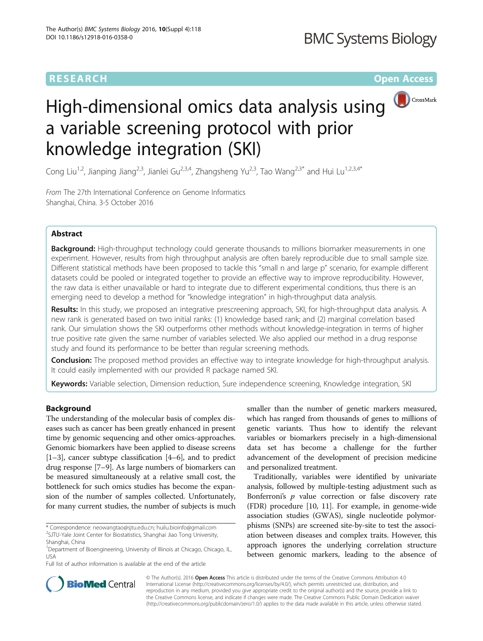## **RESEARCH CHE Open Access**



# High-dimensional omics data analysis using a variable screening protocol with prior knowledge integration (SKI)

Cong Liu<sup>1,2</sup>, Jianping Jiang<sup>2,3</sup>, Jianlei Gu<sup>2,3,4</sup>, Zhangsheng Yu<sup>2,3</sup>, Tao Wang<sup>2,3\*</sup> and Hui Lu<sup>1,2,3,4\*</sup>

From The 27th International Conference on Genome Informatics Shanghai, China. 3-5 October 2016

## Abstract

Background: High-throughput technology could generate thousands to millions biomarker measurements in one experiment. However, results from high throughput analysis are often barely reproducible due to small sample size. Different statistical methods have been proposed to tackle this "small n and large p" scenario, for example different datasets could be pooled or integrated together to provide an effective way to improve reproducibility. However, the raw data is either unavailable or hard to integrate due to different experimental conditions, thus there is an emerging need to develop a method for "knowledge integration" in high-throughput data analysis.

Results: In this study, we proposed an integrative prescreening approach, SKI, for high-throughput data analysis. A new rank is generated based on two initial ranks: (1) knowledge based rank; and (2) marginal correlation based rank. Our simulation shows the SKI outperforms other methods without knowledge-integration in terms of higher true positive rate given the same number of variables selected. We also applied our method in a drug response study and found its performance to be better than regular screening methods.

**Conclusion:** The proposed method provides an effective way to integrate knowledge for high-throughput analysis. It could easily implemented with our provided R package named SKI.

Keywords: Variable selection, Dimension reduction, Sure independence screening, Knowledge integration, SKI

## Background

The understanding of the molecular basis of complex diseases such as cancer has been greatly enhanced in present time by genomic sequencing and other omics-approaches. Genomic biomarkers have been applied to disease screens [[1](#page-7-0)–[3](#page-7-0)], cancer subtype classification [\[4](#page-7-0)–[6\]](#page-7-0), and to predict drug response [\[7](#page-7-0)–[9](#page-7-0)]. As large numbers of biomarkers can be measured simultaneously at a relative small cost, the bottleneck for such omics studies has become the expansion of the number of samples collected. Unfortunately, for many current studies, the number of subjects is much

\* Correspondence: [neowangtao@sjtu.edu.cn;](mailto:neowangtao@sjtu.edu.cn) [huilu.bioinfo@gmail.com](mailto:huilu.bioinfo@gmail.com) <sup>2</sup> <sup>2</sup>SJTU-Yale Joint Center for Biostatistics, Shanghai Jiao Tong University,

Full list of author information is available at the end of the article

smaller than the number of genetic markers measured, which has ranged from thousands of genes to millions of genetic variants. Thus how to identify the relevant variables or biomarkers precisely in a high-dimensional data set has become a challenge for the further advancement of the development of precision medicine and personalized treatment.

Traditionally, variables were identified by univariate analysis, followed by multiple-testing adjustment such as Bonferroni's  $p$  value correction or false discovery rate (FDR) procedure [[10](#page-7-0), [11](#page-7-0)]. For example, in genome-wide association studies (GWAS), single nucleotide polymorphisms (SNPs) are screened site-by-site to test the association between diseases and complex traits. However, this approach ignores the underlying correlation structure between genomic markers, leading to the absence of



© The Author(s). 2016 Open Access This article is distributed under the terms of the Creative Commons Attribution 4.0 International License [\(http://creativecommons.org/licenses/by/4.0/](http://creativecommons.org/licenses/by/4.0/)), which permits unrestricted use, distribution, and reproduction in any medium, provided you give appropriate credit to the original author(s) and the source, provide a link to the Creative Commons license, and indicate if changes were made. The Creative Commons Public Domain Dedication waiver [\(http://creativecommons.org/publicdomain/zero/1.0/](http://creativecommons.org/publicdomain/zero/1.0/)) applies to the data made available in this article, unless otherwise stated.

Shanghai, China

<sup>&</sup>lt;sup>1</sup>Department of Bioengineering, University of Illinois at Chicago, Chicago, IL, USA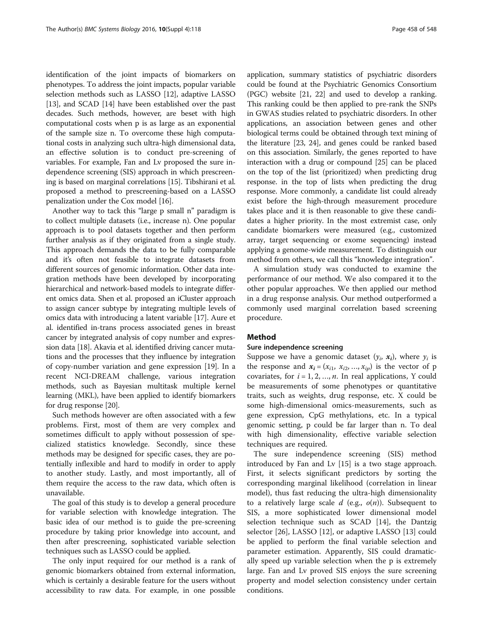identification of the joint impacts of biomarkers on phenotypes. To address the joint impacts, popular variable selection methods such as LASSO [[12\]](#page-7-0), adaptive LASSO [[13](#page-7-0)], and SCAD [[14\]](#page-7-0) have been established over the past decades. Such methods, however, are beset with high computational costs when p is as large as an exponential of the sample size n. To overcome these high computational costs in analyzing such ultra-high dimensional data, an effective solution is to conduct pre-screening of variables. For example, Fan and Lv proposed the sure independence screening (SIS) approach in which prescreening is based on marginal correlations [\[15\]](#page-7-0). Tibshirani et al. proposed a method to prescreening-based on a LASSO penalization under the Cox model [\[16\]](#page-7-0).

Another way to tack this "large p small n" paradigm is to collect multiple datasets (i.e., increase n). One popular approach is to pool datasets together and then perform further analysis as if they originated from a single study. This approach demands the data to be fully comparable and it's often not feasible to integrate datasets from different sources of genomic information. Other data integration methods have been developed by incorporating hierarchical and network-based models to integrate different omics data. Shen et al. proposed an iCluster approach to assign cancer subtype by integrating multiple levels of omics data with introducing a latent variable [\[17](#page-7-0)]. Aure et al. identified in‑trans process associated genes in breast cancer by integrated analysis of copy number and expression data [\[18\]](#page-7-0). Akavia et al. identified driving cancer mutations and the processes that they influence by integration of copy-number variation and gene expression [\[19\]](#page-7-0). In a recent NCI-DREAM challenge, various integration methods, such as Bayesian multitask multiple kernel learning (MKL), have been applied to identify biomarkers for drug response [[20](#page-7-0)].

Such methods however are often associated with a few problems. First, most of them are very complex and sometimes difficult to apply without possession of specialized statistics knowledge. Secondly, since these methods may be designed for specific cases, they are potentially inflexible and hard to modify in order to apply to another study. Lastly, and most importantly, all of them require the access to the raw data, which often is unavailable.

The goal of this study is to develop a general procedure for variable selection with knowledge integration. The basic idea of our method is to guide the pre-screening procedure by taking prior knowledge into account, and then after prescreening, sophisticated variable selection techniques such as LASSO could be applied.

The only input required for our method is a rank of genomic biomarkers obtained from external information, which is certainly a desirable feature for the users without accessibility to raw data. For example, in one possible application, summary statistics of psychiatric disorders could be found at the Psychiatric Genomics Consortium (PGC) website [\[21](#page-7-0), [22](#page-7-0)] and used to develop a ranking. This ranking could be then applied to pre-rank the SNPs in GWAS studies related to psychiatric disorders. In other applications, an association between genes and other biological terms could be obtained through text mining of the literature [\[23, 24](#page-7-0)], and genes could be ranked based on this association. Similarly, the genes reported to have interaction with a drug or compound [[25](#page-7-0)] can be placed on the top of the list (prioritized) when predicting drug response. in the top of lists when predicting the drug response. More commonly, a candidate list could already exist before the high-through measurement procedure takes place and it is then reasonable to give these candidates a higher priority. In the most extremist case, only candidate biomarkers were measured (e.g., customized array, target sequencing or exome sequencing) instead applying a genome-wide measurement. To distinguish our method from others, we call this "knowledge integration".

A simulation study was conducted to examine the performance of our method. We also compared it to the other popular approaches. We then applied our method in a drug response analysis. Our method outperformed a commonly used marginal correlation based screening procedure.

## Method

## Sure independence screening

Suppose we have a genomic dataset  $(y_i, x_i)$ , where  $y_i$  is the response and  $x_i = (x_{i1}, x_{i2}, ..., x_{ip})$  is the vector of p covariates, for  $i = 1, 2, ..., n$ . In real applications, Y could be measurements of some phenotypes or quantitative traits, such as weights, drug response, etc. X could be some high-dimensional omics-measurements, such as gene expression, CpG methylations, etc. In a typical genomic setting, p could be far larger than n. To deal with high dimensionality, effective variable selection techniques are required.

The sure independence screening (SIS) method introduced by Fan and Lv [\[15](#page-7-0)] is a two stage approach. First, it selects significant predictors by sorting the corresponding marginal likelihood (correlation in linear model), thus fast reducing the ultra-high dimensionality to a relatively large scale  $d$  (e.g.,  $o(n)$ ). Subsequent to SIS, a more sophisticated lower dimensional model selection technique such as SCAD [[14\]](#page-7-0), the Dantzig selector [\[26](#page-7-0)], LASSO [[12\]](#page-7-0), or adaptive LASSO [\[13\]](#page-7-0) could be applied to perform the final variable selection and parameter estimation. Apparently, SIS could dramatically speed up variable selection when the p is extremely large. Fan and Lv proved SIS enjoys the sure screening property and model selection consistency under certain conditions.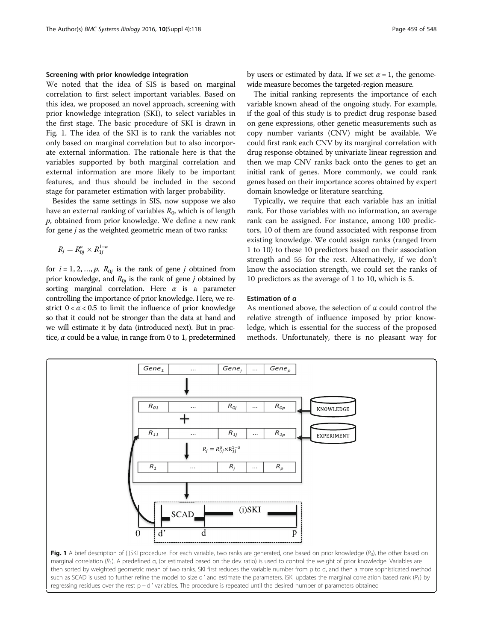## Screening with prior knowledge integration

We noted that the idea of SIS is based on marginal correlation to first select important variables. Based on this idea, we proposed an novel approach, screening with prior knowledge integration (SKI), to select variables in the first stage. The basic procedure of SKI is drawn in Fig. 1. The idea of the SKI is to rank the variables not only based on marginal correlation but to also incorporate external information. The rationale here is that the variables supported by both marginal correlation and external information are more likely to be important features, and thus should be included in the second stage for parameter estimation with larger probability.

Besides the same settings in SIS, now suppose we also have an external ranking of variables  $R_0$ , which is of length p, obtained from prior knowledge. We define a new rank for gene  $j$  as the weighted geometric mean of two ranks:

$$
R_j = R_{0j}^{\alpha} \times R_{1j}^{1-\alpha}
$$

for  $i = 1, 2, ..., p$ .  $R_{0j}$  is the rank of gene j obtained from prior knowledge, and  $R_{0i}$  is the rank of gene j obtained by sorting marginal correlation. Here  $\alpha$  is a parameter controlling the importance of prior knowledge. Here, we restrict  $0 < \alpha < 0.5$  to limit the influence of prior knowledge so that it could not be stronger than the data at hand and we will estimate it by data (introduced next). But in practice,  $\alpha$  could be a value, in range from 0 to 1, predetermined

by users or estimated by data. If we set  $\alpha = 1$ , the genomewide measure becomes the targeted-region measure.

The initial ranking represents the importance of each variable known ahead of the ongoing study. For example, if the goal of this study is to predict drug response based on gene expressions, other genetic measurements such as copy number variants (CNV) might be available. We could first rank each CNV by its marginal correlation with drug response obtained by univariate linear regression and then we map CNV ranks back onto the genes to get an initial rank of genes. More commonly, we could rank genes based on their importance scores obtained by expert domain knowledge or literature searching.

Typically, we require that each variable has an initial rank. For those variables with no information, an average rank can be assigned. For instance, among 100 predictors, 10 of them are found associated with response from existing knowledge. We could assign ranks (ranged from 1 to 10) to these 10 predictors based on their association strength and 55 for the rest. Alternatively, if we don't know the association strength, we could set the ranks of 10 predictors as the average of 1 to 10, which is 5.

## Estimation of α

As mentioned above, the selection of  $\alpha$  could control the relative strength of influence imposed by prior knowledge, which is essential for the success of the proposed methods. Unfortunately, there is no pleasant way for



then sorted by weighted geometric mean of two ranks. SKI first reduces the variable number from p to d, and then a more sophisticated method such as SCAD is used to further refine the model to size d' and estimate the parameters. iSKI updates the marginal correlation based rank  $(R_1)$  by regressing residues over the rest p − d ' variables. The procedure is repeated until the desired number of parameters obtained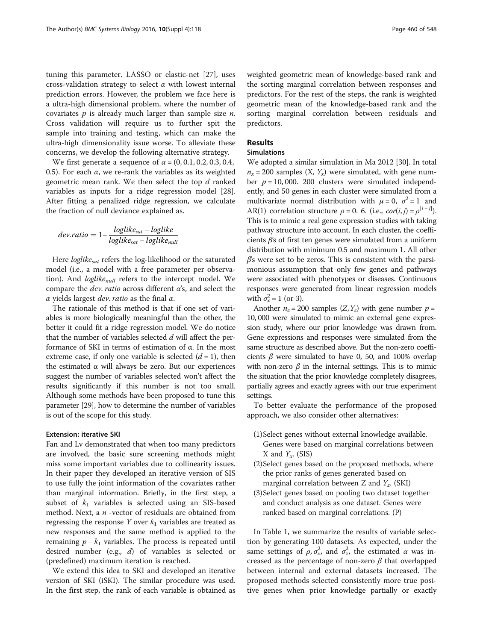tuning this parameter. LASSO or elastic-net [[27](#page-7-0)], uses cross-validation strategy to select  $\alpha$  with lowest internal prediction errors. However, the problem we face here is a ultra-high dimensional problem, where the number of covariates  $p$  is already much larger than sample size  $n$ . Cross validation will require us to further spit the sample into training and testing, which can make the ultra-high dimensionality issue worse. To alleviate these concerns, we develop the following alternative strategy.

We first generate a sequence of  $\alpha = (0, 0.1, 0.2, 0.3, 0.4, 0.4)$ 0.5). For each  $\alpha$ , we re-rank the variables as its weighted geometric mean rank. We then select the top  $d$  ranked variables as inputs for a ridge regression model [\[28](#page-7-0)]. After fitting a penalized ridge regression, we calculate the fraction of null deviance explained as.

$$
dev.ratio = 1 - \frac{loglike_{sat} - loglike_{null}}{loglike_{sat} - loglike_{null}}
$$

Here  $loglike_{sat}$  refers the log-likelihood or the saturated model (i.e., a model with a free parameter per observation). And *loglike<sub>null</sub>* refers to the intercept model. We compare the *dev. ratio* across different  $\alpha$ 's, and select the α yields largest *dev. ratio* as the final  $α$ .

The rationale of this method is that if one set of variables is more biologically meaningful than the other, the better it could fit a ridge regression model. We do notice that the number of variables selected d will affect the performance of SKI in terms of estimation of α. In the most extreme case, if only one variable is selected  $(d = 1)$ , then the estimated  $α$  will always be zero. But our experiences suggest the number of variables selected won't affect the results significantly if this number is not too small. Although some methods have been proposed to tune this parameter [\[29\]](#page-7-0), how to determine the number of variables is out of the scope for this study.

## Extension: iterative SKI

Fan and Lv demonstrated that when too many predictors are involved, the basic sure screening methods might miss some important variables due to collinearity issues. In their paper they developed an iterative version of SIS to use fully the joint information of the covariates rather than marginal information. Briefly, in the first step, a subset of  $k_1$  variables is selected using an SIS-based method. Next, a  $n$  -vector of residuals are obtained from regressing the response Y over  $k_1$  variables are treated as new responses and the same method is applied to the remaining  $p - k_1$  variables. The process is repeated until desired number (e.g., d) of variables is selected or (predefined) maximum iteration is reached.

We extend this idea to SKI and developed an iterative version of SKI (iSKI). The similar procedure was used. In the first step, the rank of each variable is obtained as weighted geometric mean of knowledge-based rank and the sorting marginal correlation between responses and predictors. For the rest of the steps, the rank is weighted geometric mean of the knowledge-based rank and the sorting marginal correlation between residuals and predictors.

## Results

## Simulations

We adopted a similar simulation in Ma 2012 [\[30](#page-7-0)]. In total  $n_x = 200$  samples  $(X, Y_x)$  were simulated, with gene number  $p = 10,000$ . 200 clusters were simulated independently, and 50 genes in each cluster were simulated from a multivariate normal distribution with  $\mu = 0$ ,  $\sigma^2 = 1$  and AR(1) correlation structure  $\rho = 0$ . 6. (i.e.,  $cor(i, j) = \rho^{|i - j|}$ ). This is to mimic a real gene expression studies with taking pathway structure into account. In each cluster, the coefficients  $\beta$ 's of first ten genes were simulated from a uniform distribution with minimum 0.5 and maximum 1. All other  $\beta$ 's were set to be zeros. This is consistent with the parsimonious assumption that only few genes and pathways were associated with phenotypes or diseases. Continuous responses were generated from linear regression models with  $\sigma_x^2 = 1$  (or 3).

Another  $n_z = 200$  samples  $(Z, Y_z)$  with gene number  $p =$ 10, 000 were simulated to mimic an external gene expression study, where our prior knowledge was drawn from. Gene expressions and responses were simulated from the same structure as described above. But the non-zero coefficients  $\beta$  were simulated to have 0, 50, and 100% overlap with non-zero  $\beta$  in the internal settings. This is to mimic the situation that the prior knowledge completely disagrees, partially agrees and exactly agrees with our true experiment settings.

To better evaluate the performance of the proposed approach, we also consider other alternatives:

- (1)Select genes without external knowledge available. Genes were based on marginal correlations between X and  $Y_x$ . (SIS)
- (2)Select genes based on the proposed methods, where the prior ranks of genes generated based on marginal correlation between Z and  $Y_{z}$ . (SKI)
- (3)Select genes based on pooling two dataset together and conduct analysis as one dataset. Genes were ranked based on marginal correlations. (P)

In Table [1,](#page-4-0) we summarize the results of variable selection by generating 100 datasets. As expected, under the same settings of  $\rho$ ,  $\sigma_x^2$ , and  $\sigma_z^2$ , the estimated  $\alpha$  was increased as the percentage of non-zero  $\beta$  that overlapped between internal and external datasets increased. The proposed methods selected consistently more true positive genes when prior knowledge partially or exactly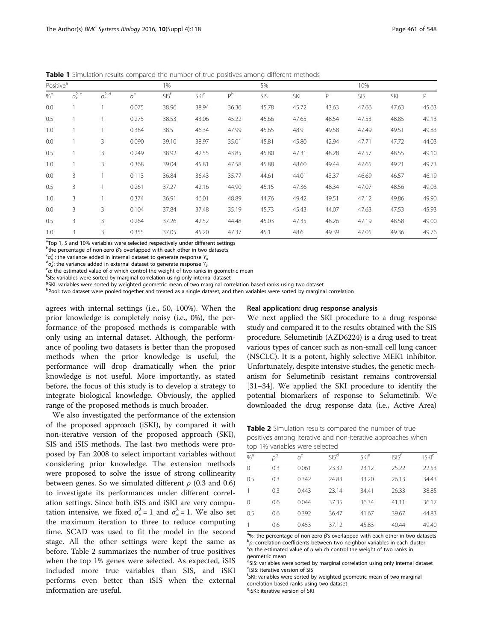<sup>a</sup>Top 1, 5 and 10% variables were selected respectively under different settings

b the percentage of non-zero β's overlapped with each other in two datasets  $5\sigma^2$ : the variance added in internal dataset to generate response Y

 $\frac{c_{\sigma_x}^2}{c_{\sigma_x^2}}$ : the variance added in internal dataset to generate response  $Y_x$ 

 $\sigma_{\sigma_{\rm z}}^{d}$ : the variance added in external dataset to generate response  $Y_{\rm z}$ <br> $\sigma_{\rm z}$  the estimated value of q which control the weight of two ranks

 $e^{\epsilon}$  the estimated value of a which control the weight of two ranks in geometric mean

SIS: variables were sorted by marginal correlation using only internal dataset

<sup>g</sup>SKI: variables were sorted by weighted geometric mean of two marginal correlation based ranks using two dataset

h Pool: two dataset were pooled together and treated as a single dataset, and then variables were sorted by marginal correlation

agrees with internal settings (i.e., 50, 100%). When the prior knowledge is completely noisy (i.e., 0%), the performance of the proposed methods is comparable with only using an internal dataset. Although, the performance of pooling two datasets is better than the proposed methods when the prior knowledge is useful, the performance will drop dramatically when the prior knowledge is not useful. More importantly, as stated before, the focus of this study is to develop a strategy to integrate biological knowledge. Obviously, the applied range of the proposed methods is much broader.

We also investigated the performance of the extension of the proposed approach (iSKI), by compared it with non-iterative version of the proposed approach (SKI), SIS and iSIS methods. The last two methods were proposed by Fan 2008 to select important variables without considering prior knowledge. The extension methods were proposed to solve the issue of strong collinearity between genes. So we simulated different  $\rho$  (0.3 and 0.6) to investigate its performances under different correlation settings. Since both iSIS and iSKI are very computation intensive, we fixed  $\sigma_x^2 = 1$  and  $\sigma_x^2 = 1$ . We also set the maximum iteration to three to reduce computing time. SCAD was used to fit the model in the second stage. All the other settings were kept the same as before. Table 2 summarizes the number of true positives when the top 1% genes were selected. As expected, iSIS included more true variables than SIS, and iSKI performs even better than iSIS when the external information are useful.

#### Real application: drug response analysis

We next applied the SKI procedure to a drug response study and compared it to the results obtained with the SIS procedure. Selumetinib (AZD6224) is a drug used to treat various types of cancer such as non-small cell lung cancer (NSCLC). It is a potent, highly selective MEK1 inhibitor. Unfortunately, despite intensive studies, the genetic mechanism for Selumetinib resistant remains controversial [[31](#page-7-0)–[34\]](#page-7-0). We applied the SKI procedure to identify the potential biomarkers of response to Selumetinib. We downloaded the drug response data (i.e., Active Area)

Table 2 Simulation results compared the number of true positives among iterative and non-iterative approaches when top 1% variables were selected

| $\%$ <sup>a</sup> | $\rho^{\rm b}$ | $\sigma^c$ | SIS <sup>d</sup> | SKIe  | iSIS <sup>†</sup> | <b>iSKI</b> <sup>g</sup> |  |  |  |
|-------------------|----------------|------------|------------------|-------|-------------------|--------------------------|--|--|--|
| $\Omega$          | 0.3            | 0.061      | 23.32            | 23.12 | 25.22             | 22.53                    |  |  |  |
| 0.5               | 0.3            | 0.342      | 24.83            | 33.20 | 26.13             | 34.43                    |  |  |  |
| 1                 | 0.3            | 0.443      | 23.14            | 34.41 | 26.33             | 38.85                    |  |  |  |
| $\Omega$          | 0.6            | 0.044      | 37.35            | 36.34 | 41.11             | 36.17                    |  |  |  |
| 0.5               | 0.6            | 0.392      | 36.47            | 41.67 | 39.67             | 44.83                    |  |  |  |
|                   | 0.6            | 0.453      | 37.12            | 45.83 | 40.44             | 49.40                    |  |  |  |

<sup>a</sup>%: the percentage of non-zero β's overlapped with each other in two datasets between the percentage of the percentage between two percentage in oach cluster.  $b$ <sup>b</sup> $\alpha$ : correlation coefficients between two neighbor variables in each cluster  $<sup>c</sup>$ α: the estimated value of α which control the weight of two ranks in</sup>

geometric mean<br><sup>d</sup>SIS: variables were sorted by marginal correlation using only internal dataset eiSIS: iterative version of SIS

f SKI: variables were sorted by weighted geometric mean of two marginal correlation based ranks using two dataset

<sup>9</sup>iSKI: iterative version of SKI

<span id="page-4-0"></span>Table 1 Simulation results compared the number of true positives among different methods

| Positive <sup>a</sup> |                        |                           |       | 1%               |                  |       | 5%         |            |       | 10%        |       |       |
|-----------------------|------------------------|---------------------------|-------|------------------|------------------|-------|------------|------------|-------|------------|-------|-------|
| $96^{\rm b}$          | $\overline{O_{X}}^{2}$ | $\overline{\sigma_z^2}$ d | $a^e$ | SIS <sup>f</sup> | SKI <sup>g</sup> | ph    | <b>SIS</b> | <b>SKI</b> | P     | <b>SIS</b> | SKI   | P     |
| 0.0                   |                        |                           | 0.075 | 38.96            | 38.94            | 36.36 | 45.78      | 45.72      | 43.63 | 47.66      | 47.63 | 45.63 |
| 0.5                   |                        |                           | 0.275 | 38.53            | 43.06            | 45.22 | 45.66      | 47.65      | 48.54 | 47.53      | 48.85 | 49.13 |
| 1.0                   |                        |                           | 0.384 | 38.5             | 46.34            | 47.99 | 45.65      | 48.9       | 49.58 | 47.49      | 49.51 | 49.83 |
| 0.0                   |                        | 3                         | 0.090 | 39.10            | 38.97            | 35.01 | 45.81      | 45.80      | 42.94 | 47.71      | 47.72 | 44.03 |
| 0.5                   |                        | 3                         | 0.249 | 38.92            | 42.55            | 43.85 | 45.80      | 47.31      | 48.28 | 47.57      | 48.55 | 49.10 |
| 1.0                   |                        | 3                         | 0.368 | 39.04            | 45.81            | 47.58 | 45.88      | 48.60      | 49.44 | 47.65      | 49.21 | 49.73 |
| 0.0                   | 3                      |                           | 0.113 | 36.84            | 36.43            | 35.77 | 44.61      | 44.01      | 43.37 | 46.69      | 46.57 | 46.19 |
| 0.5                   | 3                      |                           | 0.261 | 37.27            | 42.16            | 44.90 | 45.15      | 47.36      | 48.34 | 47.07      | 48.56 | 49.03 |
| 1.0                   | 3                      |                           | 0.374 | 36.91            | 46.01            | 48.89 | 44.76      | 49.42      | 49.51 | 47.12      | 49.86 | 49.90 |
| 0.0                   | 3                      | 3                         | 0.104 | 37.84            | 37.48            | 35.19 | 45.73      | 45.43      | 44.07 | 47.63      | 47.53 | 45.93 |
| 0.5                   | 3                      | 3                         | 0.264 | 37.26            | 42.52            | 44.48 | 45.03      | 47.35      | 48.26 | 47.19      | 48.58 | 49.00 |
| 1.0                   | 3                      | 3                         | 0.355 | 37.05            | 45.20            | 47.37 | 45.1       | 48.6       | 49.39 | 47.05      | 49.36 | 49.76 |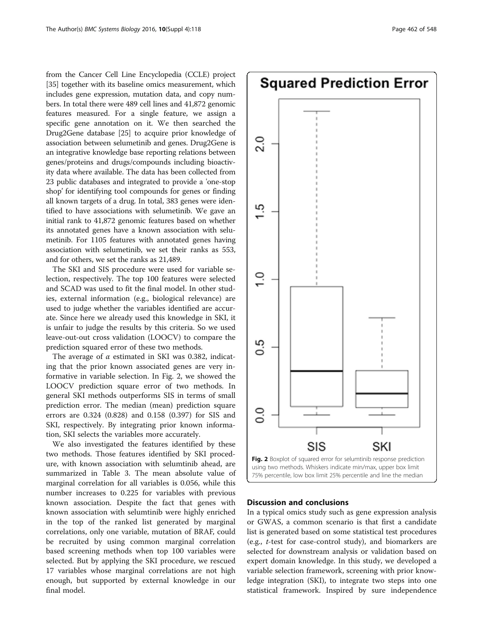from the Cancer Cell Line Encyclopedia (CCLE) project [[35](#page-7-0)] together with its baseline omics measurement, which includes gene expression, mutation data, and copy numbers. In total there were 489 cell lines and 41,872 genomic features measured. For a single feature, we assign a specific gene annotation on it. We then searched the Drug2Gene database [[25\]](#page-7-0) to acquire prior knowledge of association between selumetinib and genes. Drug2Gene is an integrative knowledge base reporting relations between genes/proteins and drugs/compounds including bioactivity data where available. The data has been collected from 23 public databases and integrated to provide a 'one-stop shop' for identifying tool compounds for genes or finding all known targets of a drug. In total, 383 genes were identified to have associations with selumetinib. We gave an initial rank to 41,872 genomic features based on whether its annotated genes have a known association with selumetinib. For 1105 features with annotated genes having association with selumetinib, we set their ranks as 553, and for others, we set the ranks as 21,489.

The SKI and SIS procedure were used for variable selection, respectively. The top 100 features were selected and SCAD was used to fit the final model. In other studies, external information (e.g., biological relevance) are used to judge whether the variables identified are accurate. Since here we already used this knowledge in SKI, it is unfair to judge the results by this criteria. So we used leave-out-out cross validation (LOOCV) to compare the prediction squared error of these two methods.

The average of  $\alpha$  estimated in SKI was 0.382, indicating that the prior known associated genes are very informative in variable selection. In Fig. 2, we showed the LOOCV prediction square error of two methods. In general SKI methods outperforms SIS in terms of small prediction error. The median (mean) prediction square errors are 0.324 (0.828) and 0.158 (0.397) for SIS and SKI, respectively. By integrating prior known information, SKI selects the variables more accurately.

We also investigated the features identified by these two methods. Those features identified by SKI procedure, with known association with selumtinib ahead, are summarized in Table [3.](#page-6-0) The mean absolute value of marginal correlation for all variables is 0.056, while this number increases to 0.225 for variables with previous known association. Despite the fact that genes with known association with selumtinib were highly enriched in the top of the ranked list generated by marginal correlations, only one variable, mutation of BRAF, could be recruited by using common marginal correlation based screening methods when top 100 variables were selected. But by applying the SKI procedure, we rescued 17 variables whose marginal correlations are not high enough, but supported by external knowledge in our final model.



## Discussion and conclusions

In a typical omics study such as gene expression analysis or GWAS, a common scenario is that first a candidate list is generated based on some statistical test procedures (e.g., t-test for case-control study), and biomarkers are selected for downstream analysis or validation based on expert domain knowledge. In this study, we developed a variable selection framework, screening with prior knowledge integration (SKI), to integrate two steps into one statistical framework. Inspired by sure independence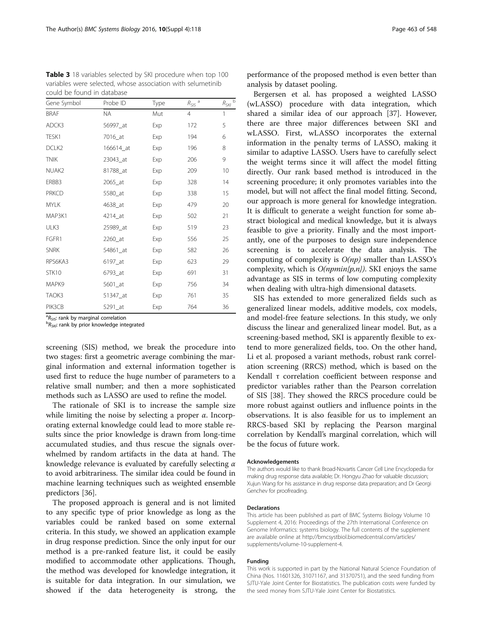<sup>a</sup> R<sub>SIS</sub>: rank by marginal correlation<br><sup>b</sup> R<sub>sis</sub>: rank by prior knowledge int

 ${}^{b}R_{SKi}$ : rank by prior knowledge integrated

screening (SIS) method, we break the procedure into two stages: first a geometric average combining the marginal information and external information together is used first to reduce the huge number of parameters to a relative small number; and then a more sophisticated methods such as LASSO are used to refine the model.

The rationale of SKI is to increase the sample size while limiting the noise by selecting a proper  $\alpha$ . Incorporating external knowledge could lead to more stable results since the prior knowledge is drawn from long-time accumulated studies, and thus rescue the signals overwhelmed by random artifacts in the data at hand. The knowledge relevance is evaluated by carefully selecting  $\alpha$ to avoid arbitrariness. The similar idea could be found in machine learning techniques such as weighted ensemble predictors [\[36\]](#page-7-0).

The proposed approach is general and is not limited to any specific type of prior knowledge as long as the variables could be ranked based on some external criteria. In this study, we showed an application example in drug response prediction. Since the only input for our method is a pre-ranked feature list, it could be easily modified to accommodate other applications. Though, the method was developed for knowledge integration, it is suitable for data integration. In our simulation, we showed if the data heterogeneity is strong, the

performance of the proposed method is even better than analysis by dataset pooling.

Bergersen et al. has proposed a weighted LASSO (wLASSO) procedure with data integration, which shared a similar idea of our approach [\[37\]](#page-7-0). However, there are three major differences between SKI and wLASSO. First, wLASSO incorporates the external information in the penalty terms of LASSO, making it similar to adaptive LASSO. Users have to carefully select the weight terms since it will affect the model fitting directly. Our rank based method is introduced in the screening procedure; it only promotes variables into the model, but will not affect the final model fitting. Second, our approach is more general for knowledge integration. It is difficult to generate a weight function for some abstract biological and medical knowledge, but it is always feasible to give a priority. Finally and the most importantly, one of the purposes to design sure independence screening is to accelerate the data analysis. The computing of complexity is  $O(np)$  smaller than LASSO's complexity, which is  $O(npmin\{p,n\})$ . SKI enjoys the same advantage as SIS in terms of low computing complexity when dealing with ultra-high dimensional datasets.

SIS has extended to more generalized fields such as generalized linear models, additive models, cox models, and model-free feature selections. In this study, we only discuss the linear and generalized linear model. But, as a screening-based method, SKI is apparently flexible to extend to more generalized fields, too. On the other hand, Li et al. proposed a variant methods, robust rank correlation screening (RRCS) method, which is based on the Kendall τ correlation coefficient between response and predictor variables rather than the Pearson correlation of SIS [\[38](#page-7-0)]. They showed the RRCS procedure could be more robust against outliers and influence points in the observations. It is also feasible for us to implement an RRCS-based SKI by replacing the Pearson marginal correlation by Kendall's marginal correlation, which will be the focus of future work.

#### Acknowledgements

The authors would like to thank Broad-Novartis Cancer Cell Line Encyclopedia for making drug response data available; Dr. Hongyu Zhao for valuable discussion; Xujun Wang for his assistance in drug response data preparation; and Dr Georgi Genchev for proofreading.

#### Declarations

This article has been published as part of BMC Systems Biology Volume 10 Supplement 4, 2016: Proceedings of the 27th International Conference on Genome Informatics: systems biology. The full contents of the supplement are available online at [http://bmcsystbiol.biomedcentral.com/articles/](http://bmcsystbiol.biomedcentral.com/articles/supplements/volume-10-supplement-4) [supplements/volume-10-supplement-4.](http://bmcsystbiol.biomedcentral.com/articles/supplements/volume-10-supplement-4)

#### Funding

This work is supported in part by the National Natural Science Foundation of China (Nos. 11601326, 31071167, and 31370751), and the seed funding from SJTU-Yale Joint Center for Biostatistics. The publication costs were funded by the seed money from SJTU-Yale Joint Center for Biostatistics.

<span id="page-6-0"></span>

| Table 3 18 variables selected by SKI procedure when top 100 |
|-------------------------------------------------------------|
| variables were selected, whose association with selumetinib |
| could be found in database                                  |

| Gene Symbol | Probe ID   | Type | $R_{SIS}$ <sup>a</sup> | b<br>$R_{\textit{SKI}}$ |
|-------------|------------|------|------------------------|-------------------------|
| <b>BRAF</b> | NA.        | Mut  | $\overline{4}$         | 1                       |
| ADCK3       | 56997_at   | Exp  | 172                    | 5                       |
| TESK1       | 7016_at    | Exp  | 194                    | 6                       |
| DCLK2       | 166614_at  | Exp  | 196                    | 8                       |
| <b>TNIK</b> | 23043_at   | Exp  | 206                    | 9                       |
| NUAK2       | 81788_at   | Exp  | 209                    | 10                      |
| ERBB3       | 2065_at    | Exp  | 328                    | 14                      |
| PRKCD       | 5580_at    | Exp  | 338                    | 15                      |
| <b>MYLK</b> | 4638_at    | Exp  | 479                    | 20                      |
| MAP3K1      | 4214_at    | Exp  | 502                    | 21                      |
| ULK3        | 25989_at   | Exp  | 519                    | 23                      |
| FGFR1       | 2260_at    | Exp  | 556                    | 25                      |
| <b>SNRK</b> | 54861_at   | Exp  | 582                    | 26                      |
| RPS6KA3     | 6197_at    | Exp  | 623                    | 29                      |
| STK10       | 6793_at    | Exp  | 691                    | 31                      |
| MAPK9       | $5601$ _at | Exp  | 756                    | 34                      |
| TAOK3       | 51347_at   | Exp  | 761                    | 35                      |
| PIK3CB      | 5291 at    | Exp  | 764                    | 36                      |